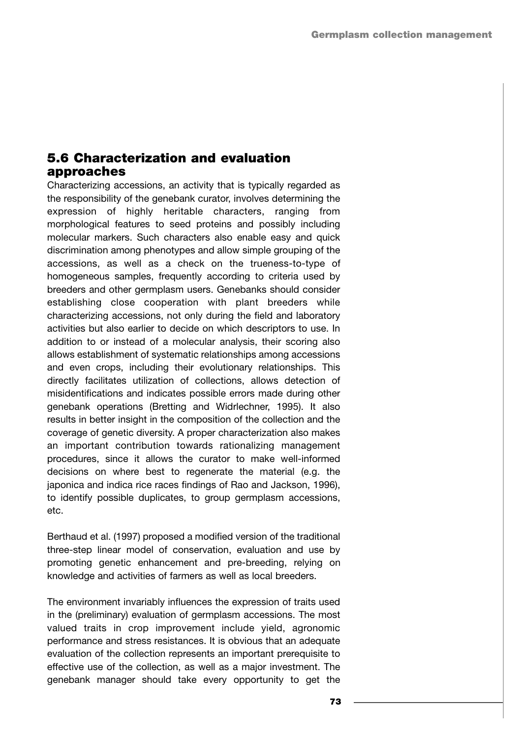## **5.6 Characterization and evaluation approaches**

Characterizing accessions, an activity that is typically regarded as the responsibility of the genebank curator, involves determining the expression of highly heritable characters, ranging from morphological features to seed proteins and possibly including molecular markers. Such characters also enable easy and quick discrimination among phenotypes and allow simple grouping of the accessions, as well as a check on the trueness-to-type of homogeneous samples, frequently according to criteria used by breeders and other germplasm users. Genebanks should consider establishing close cooperation with plant breeders while characterizing accessions, not only during the field and laboratory activities but also earlier to decide on which descriptors to use. In addition to or instead of a molecular analysis, their scoring also allows establishment of systematic relationships among accessions and even crops, including their evolutionary relationships. This directly facilitates utilization of collections, allows detection of misidentifications and indicates possible errors made during other genebank operations (Bretting and Widrlechner, 1995). It also results in better insight in the composition of the collection and the coverage of genetic diversity. A proper characterization also makes an important contribution towards rationalizing management procedures, since it allows the curator to make well-informed decisions on where best to regenerate the material (e.g. the japonica and indica rice races findings of Rao and Jackson, 1996), to identify possible duplicates, to group germplasm accessions, etc.

Berthaud et al. (1997) proposed a modified version of the traditional three-step linear model of conservation, evaluation and use by promoting genetic enhancement and pre-breeding, relying on knowledge and activities of farmers as well as local breeders.

The environment invariably influences the expression of traits used in the (preliminary) evaluation of germplasm accessions. The most valued traits in crop improvement include yield, agronomic performance and stress resistances. It is obvious that an adequate evaluation of the collection represents an important prerequisite to effective use of the collection, as well as a major investment. The genebank manager should take every opportunity to get the